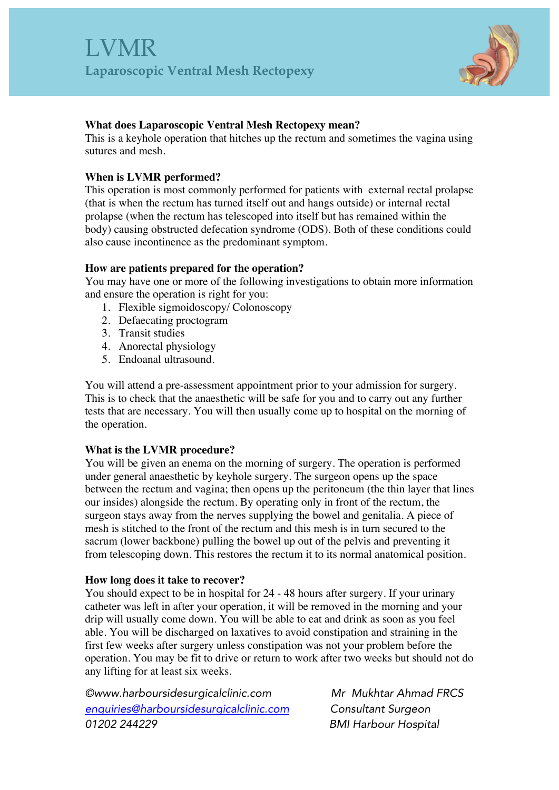

## **What does Laparoscopic Ventral Mesh Rectopexy mean?**

This is a keyhole operation that hitches up the rectum and sometimes the vagina using sutures and mesh.

## **When is LVMR performed?**

This operation is most commonly performed for patients with external rectal prolapse (that is when the rectum has turned itself out and hangs outside) or internal rectal prolapse (when the rectum has telescoped into itself but has remained within the body) causing obstructed defecation syndrome (ODS). Both of these conditions could also cause incontinence as the predominant symptom.

## **How are patients prepared for the operation?**

You may have one or more of the following investigations to obtain more information and ensure the operation is right for you:

- 1. Flexible sigmoidoscopy/ Colonoscopy
- 2. Defaecating proctogram
- 3. Transit studies
- 4. Anorectal physiology
- 5. Endoanal ultrasound.

You will attend a pre-assessment appointment prior to your admission for surgery. This is to check that the anaesthetic will be safe for you and to carry out any further tests that are necessary. You will then usually come up to hospital on the morning of the operation.

# **What is the LVMR procedure?**

You will be given an enema on the morning of surgery. The operation is performed under general anaesthetic by keyhole surgery. The surgeon opens up the space between the rectum and vagina; then opens up the peritoneum (the thin layer that lines our insides) alongside the rectum. By operating only in front of the rectum, the surgeon stays away from the nerves supplying the bowel and genitalia. A piece of mesh is stitched to the front of the rectum and this mesh is in turn secured to the sacrum (lower backbone) pulling the bowel up out of the pelvis and preventing it from telescoping down. This restores the rectum it to its normal anatomical position.

### **How long does it take to recover?**

You should expect to be in hospital for 24 - 48 hours after surgery. If your urinary catheter was left in after your operation, it will be removed in the morning and your drip will usually come down. You will be able to eat and drink as soon as you feel able. You will be discharged on laxatives to avoid constipation and straining in the first few weeks after surgery unless constipation was not your problem before the operation. You may be fit to drive or return to work after two weeks but should not do any lifting for at least six weeks.

*©www.harboursidesurgicalclinic.com Mr Mukhtar Ahmad FRCS enquiries@harboursidesurgicalclinic.com Consultant Surgeon 01202 244229 BMI Harbour Hospital*